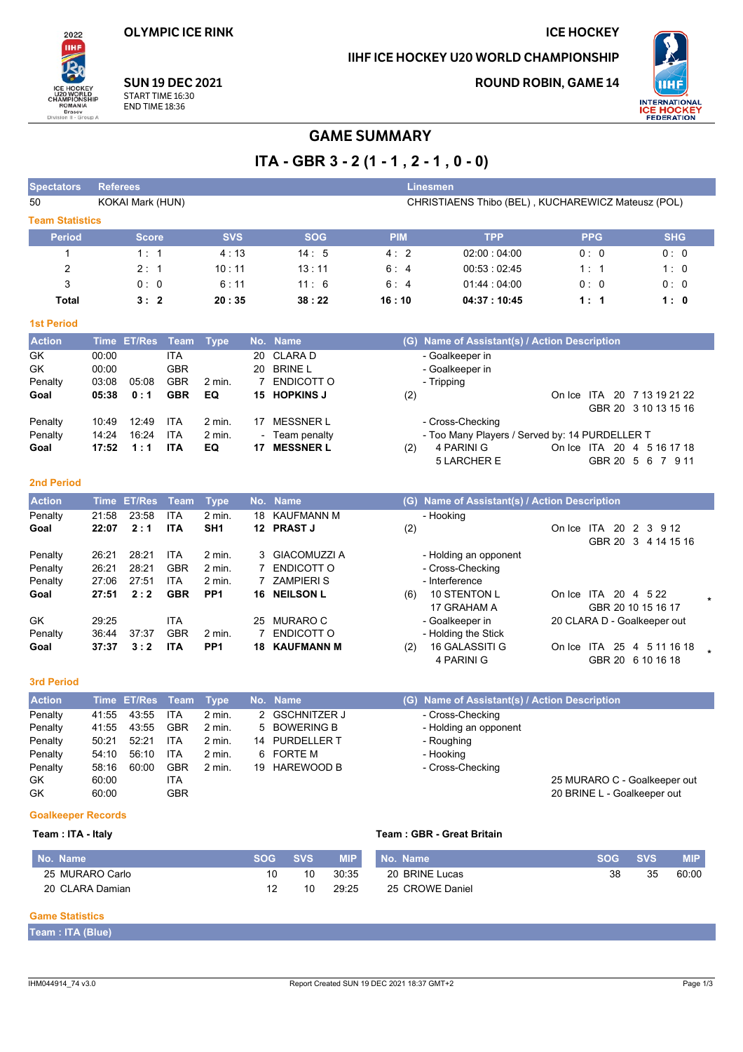**OLYMPIC ICE RINK** 

 $2022$ **TIHE** 

### **ICE HOCKEY**

### IIHF ICE HOCKEY U20 WORLD CHAMPIONSHIP

**ROUND ROBIN, GAME 14** 



**SUN 19 DEC 2021** START TIME 16:30 **END TIME 18:36** 

# **GAME SUMMARY**

 $ITA - GBR 3 - 2 (1 - 1, 2 - 1, 0 - 0)$ 

| <b>Spectators</b>                                     | <b>Referees</b> |                                                                        |                          |                  |                |                                  |            |                      | <b>Linesmen</b>                                |                              |                      |            |
|-------------------------------------------------------|-----------------|------------------------------------------------------------------------|--------------------------|------------------|----------------|----------------------------------|------------|----------------------|------------------------------------------------|------------------------------|----------------------|------------|
| 50                                                    |                 | KOKAI Mark (HUN)<br>CHRISTIAENS Thibo (BEL), KUCHAREWICZ Mateusz (POL) |                          |                  |                |                                  |            |                      |                                                |                              |                      |            |
| <b>Team Statistics</b>                                |                 |                                                                        |                          |                  |                |                                  |            |                      |                                                |                              |                      |            |
| <b>Period</b>                                         |                 | <b>Score</b>                                                           |                          | <b>SVS</b>       |                | <b>SOG</b>                       |            | <b>PIM</b>           | <b>TPP</b>                                     | <b>PPG</b>                   |                      | <b>SHG</b> |
| 1                                                     |                 | 1:1                                                                    |                          | 4:13             |                | 14:5                             |            | 4:2                  | 02:00:04:00                                    | 0:0                          |                      | 0:0        |
| 2                                                     |                 | 2:1                                                                    |                          | 10:11            |                | 13:11                            |            | 6:4<br>00:53 : 02:45 |                                                | 1:1                          |                      | 1:0        |
| 3                                                     |                 | 0:0                                                                    |                          | 6:11             |                | 11:6                             |            | 6:4                  | 01.44:04.00                                    | 0:0                          |                      | 0:0        |
| <b>Total</b>                                          |                 | 3:2                                                                    |                          | 20:35            |                | 38:22                            |            | 16:10                | 04:37:10:45                                    | 1:1                          |                      | 1:0        |
| <b>1st Period</b>                                     |                 |                                                                        |                          |                  |                |                                  |            |                      |                                                |                              |                      |            |
| <b>Action</b>                                         | <b>Time</b>     | <b>ET/Res</b>                                                          | Team                     | <b>Type</b>      |                | No. Name                         |            |                      | (G) Name of Assistant(s) / Action Description  |                              |                      |            |
| GK                                                    | 00:00           |                                                                        | <b>ITA</b>               |                  | 20             | <b>CLARAD</b>                    |            |                      | - Goalkeeper in                                |                              |                      |            |
| GK                                                    | 00:00           |                                                                        | <b>GBR</b>               |                  | 20             | <b>BRINE L</b>                   |            |                      | - Goalkeeper in                                |                              |                      |            |
| Penalty                                               | 03:08           | 05:08                                                                  | <b>GBR</b>               | 2 min.           | $\overline{7}$ | <b>ENDICOTT O</b>                |            |                      | - Tripping                                     |                              |                      |            |
| Goal                                                  | 05:38           | 0:1                                                                    | <b>GBR</b>               | EQ               | 15             | <b>HOPKINS J</b>                 |            | (2)                  |                                                | On Ice ITA 20 7 13 19 21 22  | GBR 20 3 10 13 15 16 |            |
| Penalty                                               | 10:49           | 12:49                                                                  | ITA                      | 2 min.           |                | 17 MESSNER L                     |            |                      | - Cross-Checking                               |                              |                      |            |
| Penalty                                               | 14:24           | 16:24                                                                  | <b>ITA</b>               | 2 min.           |                | Team penalty                     |            |                      | - Too Many Players / Served by: 14 PURDELLER T |                              |                      |            |
| Goal                                                  | 17:52           | 1:1                                                                    | <b>ITA</b>               | EQ               | 17             | <b>MESSNER L</b>                 |            | (2)                  | 4 PARINI G<br>5 LARCHER E                      | On Ice ITA 20 4 5 16 17 18   | GBR 20 5 6 7 9 11    |            |
|                                                       |                 |                                                                        |                          |                  |                |                                  |            |                      |                                                |                              |                      |            |
| <b>2nd Period</b>                                     |                 |                                                                        |                          |                  |                |                                  |            |                      |                                                |                              |                      |            |
| <b>Action</b>                                         |                 | Time ET/Res                                                            | <b>Team</b>              | <b>Type</b>      |                | No. Name                         |            |                      | (G) Name of Assistant(s) / Action Description  |                              |                      |            |
| Penalty                                               | 21:58           | 23:58                                                                  | ITA                      | 2 min.           | 18             | <b>KAUFMANN M</b>                |            |                      | - Hooking                                      |                              |                      |            |
| Goal                                                  | 22:07           | 2:1                                                                    | <b>ITA</b>               | SH <sub>1</sub>  |                | 12 PRAST J                       |            | (2)                  |                                                | On Ice ITA 20 2 3 9 12       |                      |            |
| Penalty                                               | 26:21           | 28:21                                                                  | ITA                      | 2 min.           | 3              | <b>GIACOMUZZI A</b>              |            |                      | - Holding an opponent                          |                              | GBR 20 3 4 14 15 16  |            |
| Penalty                                               | 26:21           | 28:21                                                                  | <b>GBR</b>               | 2 min.           | 7              | <b>ENDICOTT O</b>                |            |                      | - Cross-Checking                               |                              |                      |            |
| Penalty                                               | 27:06           | 27:51                                                                  | <b>ITA</b>               | 2 min.           | 7              | <b>ZAMPIERIS</b>                 |            |                      | - Interference                                 |                              |                      |            |
| Goal                                                  | 27:51           | 2:2                                                                    | <b>GBR</b>               | PP <sub>1</sub>  | 16             | <b>NEILSON L</b>                 |            | (6)                  | 10 STENTON L                                   | On Ice ITA 20 4 5 22         |                      |            |
|                                                       |                 |                                                                        |                          |                  |                |                                  |            |                      | 17 GRAHAM A                                    |                              | GBR 20 10 15 16 17   |            |
| GK                                                    | 29:25           |                                                                        | <b>ITA</b>               |                  | 25             | <b>MURARO C</b>                  |            |                      | - Goalkeeper in                                | 20 CLARA D - Goalkeeper out  |                      |            |
| Penalty                                               | 36:44           | 37:37                                                                  | <b>GBR</b>               | 2 min.           | 7              | ENDICOTT O                       |            |                      | - Holding the Stick                            |                              |                      |            |
| Goal                                                  | 37:37           | 3:2                                                                    | <b>ITA</b>               | PP <sub>1</sub>  | 18             | <b>KAUFMANN M</b>                |            | (2)                  | 16 GALASSITI G<br>4 PARINI G                   | On Ice ITA 25 4 5 11 16 18   | GBR 20 6 10 16 18    |            |
|                                                       |                 |                                                                        |                          |                  |                |                                  |            |                      |                                                |                              |                      |            |
| <b>3rd Period</b>                                     |                 |                                                                        |                          |                  |                |                                  |            |                      |                                                |                              |                      |            |
| <b>Action</b>                                         |                 | Time ET/Res                                                            | <b>Team</b>              | <b>Type</b>      |                | No. Name                         |            |                      | (G) Name of Assistant(s) / Action Description  |                              |                      |            |
| Penalty                                               | 41:55           | 43:55                                                                  | <b>ITA</b>               | 2 min.           | 2              | <b>GSCHNITZER J</b>              |            |                      | - Cross-Checking                               |                              |                      |            |
| Penalty                                               | 41:55           | 43.55                                                                  | <b>GBR</b>               | $2$ min.         | 5              | <b>BOWERING B</b>                |            |                      | - Holding an opponent                          |                              |                      |            |
| Penalty                                               | 50:21           | 52:21                                                                  | <b>ITA</b><br><b>ITA</b> | 2 min.           |                | 14 PURDELLER T<br><b>FORTE M</b> |            |                      | - Roughing                                     |                              |                      |            |
| Penalty<br>Penalty                                    | 54:10<br>58:16  | 56:10<br>60:00                                                         | <b>GBR</b>               | 2 min.<br>2 min. | 6              | 19 HAREWOOD B                    |            |                      | - Hooking<br>- Cross-Checking                  |                              |                      |            |
| GK                                                    | 60:00           |                                                                        | ITA                      |                  |                |                                  |            |                      |                                                | 25 MURARO C - Goalkeeper out |                      |            |
| GK                                                    | 60:00           |                                                                        | <b>GBR</b>               |                  |                |                                  |            |                      |                                                | 20 BRINE L - Goalkeeper out  |                      |            |
| <b>Goalkeeper Records</b>                             |                 |                                                                        |                          |                  |                |                                  |            |                      |                                                |                              |                      |            |
| <b>Team: GBR - Great Britain</b><br>Team: ITA - Italy |                 |                                                                        |                          |                  |                |                                  |            |                      |                                                |                              |                      |            |
| No. Name                                              |                 |                                                                        |                          |                  | <b>SOG</b>     | <b>SVS</b>                       | <b>MIP</b> | No. Name             |                                                | <b>SOG</b>                   | <b>SVS</b>           | <b>MIP</b> |
| 25 MURARO Carlo                                       |                 |                                                                        |                          |                  |                | 10<br>10                         | 30:35      |                      | 20 BRINE Lucas                                 | 38                           | 35                   | 60:00      |
| 20 CLARA Damian                                       |                 |                                                                        |                          |                  |                | 12<br>10                         | 29:25      |                      | 25 CROWE Daniel                                |                              |                      |            |
|                                                       |                 |                                                                        |                          |                  |                |                                  |            |                      |                                                |                              |                      |            |

#### **Game Statistics**

Team : ITA (Blue)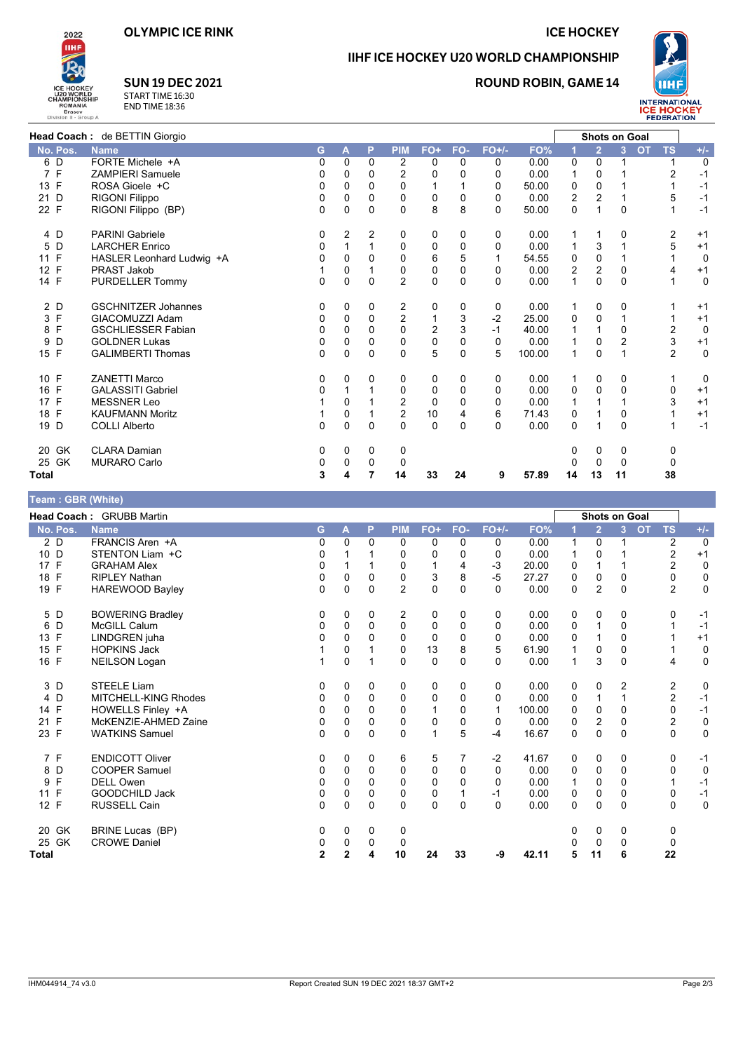**ICE HOCKEY** 



## IIHF ICE HOCKEY U20 WORLD CHAMPIONSHIP

## **ROUND ROBIN, GAME 14**



**SUN 19 DEC 2021** START TIME 16:30<br>END TIME 18:36

|                    | Head Coach: de BETTIN Giorgio |             |              |              |                |                |              |          |        |                         | <b>Shots on Goal</b> |                |                        |             |
|--------------------|-------------------------------|-------------|--------------|--------------|----------------|----------------|--------------|----------|--------|-------------------------|----------------------|----------------|------------------------|-------------|
| No. Pos.           | <b>Name</b>                   | G           | A            | P            | <b>PIM</b>     | FO+            | FO-          | $FO+/-$  | FO%    |                         | $\overline{2}$       | $\overline{3}$ | <b>OT</b><br><b>TS</b> | $+/-$       |
| 6<br>D             | FORTE Michele +A              | $\Omega$    | 0            | 0            | 2              | 0              | 0            | 0        | 0.00   | 0                       | $\Omega$             |                |                        | 0           |
| 7 F                | <b>ZAMPIERI Samuele</b>       | $\Omega$    | 0            | $\Omega$     | $\overline{2}$ | $\Omega$       | $\Omega$     | 0        | 0.00   | 1                       | 0                    |                | $\overline{2}$         | $-1$        |
| 13 F               | ROSA Gioele +C                | 0           | 0            | 0            | $\Omega$       | 1              |              | 0        | 50.00  | 0                       | 0                    |                |                        | $-1$        |
| 21 D               | RIGONI Filippo                | 0           | 0            | $\Omega$     | 0              | 0              | 0            | 0        | 0.00   | $\overline{\mathbf{c}}$ | 2                    |                | 5                      | $-1$        |
| 22 F               | RIGONI Filippo (BP)           | $\Omega$    | 0            | 0            | $\Omega$       | 8              | 8            | 0        | 50.00  | 0                       |                      | 0              |                        | $-1$        |
| 4 D                | <b>PARINI Gabriele</b>        | 0           | 2            | 2            | 0              | 0              | 0            | 0        | 0.00   | 1                       | 1                    | 0              | 2                      | $+1$        |
| D<br>5             | <b>LARCHER Enrico</b>         | 0           |              | $\mathbf{1}$ | 0              | 0              | 0            | 0        | 0.00   | 1                       | 3                    |                | 5                      | $+1$        |
| 11 F               | HASLER Leonhard Ludwig +A     | $\Omega$    | 0            | 0            | $\Omega$       | 6              | 5            |          | 54.55  | 0                       | 0                    |                |                        | 0           |
| 12 F               | PRAST Jakob                   |             | $\Omega$     | 1            | 0              | $\mathbf 0$    | 0            | 0        | 0.00   | $\overline{2}$          | 2                    | 0              | 4                      | $+1$        |
| 14 F               | PURDELLER Tommy               | $\Omega$    | $\mathbf{0}$ | $\Omega$     | $\overline{2}$ | $\overline{0}$ | $\mathbf{0}$ | $\Omega$ | 0.00   | $\mathbf{1}$            | $\Omega$             | 0              | 1                      | 0           |
| 2 D                | <b>GSCHNITZER Johannes</b>    | 0           | 0            | 0            | 2              | 0              | 0            | 0        | 0.00   | 1                       | 0                    | 0              |                        | $+1$        |
| 3 F                | GIACOMUZZI Adam               | 0           | $\Omega$     | 0            | $\overline{2}$ | 1              | 3            | $-2$     | 25.00  | $\mathbf 0$             | 0                    |                |                        | $+1$        |
| F<br>8             | <b>GSCHLIESSER Fabian</b>     | $\Omega$    | $\Omega$     | 0            | $\Omega$       | $\overline{2}$ | 3            | $-1$     | 40.00  | 1                       |                      | 0              | $\overline{2}$         | $\mathbf 0$ |
| D<br>9             | <b>GOLDNER Lukas</b>          | 0           | $\Omega$     | 0            | $\Omega$       | $\pmb{0}$      | 0            | 0        | 0.00   | 1                       | 0                    | 2              | 3                      | $+1$        |
| 15 F               | <b>GALIMBERTI Thomas</b>      | $\Omega$    | $\Omega$     | $\Omega$     | $\Omega$       | 5              | 0            | 5        | 100.00 | $\mathbf 1$             | $\Omega$             |                | $\overline{2}$         | $\mathbf 0$ |
| 10 F               | <b>ZANETTI Marco</b>          | 0           | 0            | 0            | 0              | 0              | 0            | 0        | 0.00   | 1                       | 0                    | 0              | 1                      | 0           |
| 16 F               | <b>GALASSITI Gabriel</b>      | 0           | 1            |              | 0              | 0              | $\Omega$     | 0        | 0.00   | 0                       | $\Omega$             | 0              | $\Omega$               | $+1$        |
| 17 F               | <b>MESSNER Leo</b>            |             | 0            |              | 2              | 0              | 0            | 0        | 0.00   |                         |                      |                | 3                      | $+1$        |
| 18 F               | <b>KAUFMANN Moritz</b>        |             | 0            | 1            | $\overline{2}$ | 10             | 4            | 6        | 71.43  | 0                       |                      | 0              |                        | $+1$        |
| 19 D               | <b>COLLI Alberto</b>          | $\mathbf 0$ | 0            | 0            | $\Omega$       | $\mathbf 0$    | $\mathbf 0$  | $\Omega$ | 0.00   | $\mathbf 0$             |                      | 0              | 1                      | $-1$        |
| 20 GK              | <b>CLARA Damian</b>           | 0           | 0            | 0            | 0              |                |              |          |        | 0                       | 0                    | 0              | 0                      |             |
| 25 GK              | <b>MURARO Carlo</b>           | 0           | 0            | 0            | 0              |                |              |          |        | 0                       | 0                    | $\Omega$       | 0                      |             |
| <b>Total</b>       |                               | 3           | 4            | 7            | 14             | 33             | 24           | 9        | 57.89  | 14                      | 13                   | 11             | 38                     |             |
| Team · GRR (White) |                               |             |              |              |                |                |              |          |        |                         |                      |                |                        |             |

| $1$ vant . Optiques |                          |                |              |              |                |             |          |              |        |          |                |                      |                         |             |
|---------------------|--------------------------|----------------|--------------|--------------|----------------|-------------|----------|--------------|--------|----------|----------------|----------------------|-------------------------|-------------|
|                     | Head Coach: GRUBB Martin |                |              |              |                |             |          |              |        |          |                | <b>Shots on Goal</b> |                         |             |
| No. Pos.            | <b>Name</b>              | G              | A            | P            | <b>PIM</b>     | FO+         | FO-      | $FO+/-$      | FO%    |          | $\overline{2}$ | 3 <sup>2</sup>       | <b>TS</b><br><b>OT</b>  | $+/-$       |
| 2 D                 | FRANCIS Aren +A          | 0              | $\Omega$     | 0            | 0              | 0           | $\Omega$ | 0            | 0.00   | 1        | 0              |                      | 2                       | $\mathbf 0$ |
| 10 D                | STENTON Liam +C          | 0              |              |              | 0              | 0           | 0        | 0            | 0.00   |          | 0              |                      | $\overline{\mathbf{c}}$ | $+1$        |
| 17 F                | <b>GRAHAM Alex</b>       | 0              |              |              | $\mathbf 0$    | 1           | 4        | $-3$         | 20.00  | 0        | $\mathbf 1$    |                      | $\overline{2}$          | $\mathbf 0$ |
| 18 F                | <b>RIPLEY Nathan</b>     | 0              | 0            | 0            | 0              | 3           | 8        | $-5$         | 27.27  | 0        | 0              | 0                    | 0                       | $\mathbf 0$ |
| 19 F                | <b>HAREWOOD Bayley</b>   | $\Omega$       | 0            | $\Omega$     | $\overline{2}$ | 0           | $\Omega$ | $\Omega$     | 0.00   | 0        | $\overline{2}$ | $\Omega$             | $\overline{2}$          | $\mathbf 0$ |
| 5 D                 | <b>BOWERING Bradley</b>  | 0              | 0            | 0            | 2              | 0           | 0        | 0            | 0.00   | 0        | 0              | 0                    | 0                       | $-1$        |
| 6 D                 | <b>McGILL Calum</b>      | 0              | 0            | $\Omega$     | 0              | $\mathbf 0$ | $\Omega$ | 0            | 0.00   | 0        | 1              | $\mathbf{0}$         | 1                       | $-1$        |
| 13 F                | LINDGREN juha            | $\Omega$       | 0            | $\Omega$     | $\Omega$       | $\mathbf 0$ | $\Omega$ | 0            | 0.00   | 0        | 1              | $\Omega$             |                         | $+1$        |
| 15<br>F             | <b>HOPKINS Jack</b>      |                | 0            |              | 0              | 13          | 8        | 5            | 61.90  | 1        | 0              | 0                    | 1                       | 0           |
| 16 F                | <b>NEILSON Logan</b>     |                | $\Omega$     |              | $\Omega$       | $\Omega$    | $\Omega$ | $\Omega$     | 0.00   | 1        | 3              | $\Omega$             | 4                       | $\mathbf 0$ |
| 3 D                 | <b>STEELE Liam</b>       | 0              | 0            | 0            | 0              | 0           | 0        | 0            | 0.00   | 0        | 0              | 2                    | 2                       | 0           |
| D<br>4              | MITCHELL-KING Rhodes     | 0              | 0            | $\mathbf{0}$ | 0              | 0           | $\Omega$ | 0            | 0.00   | 0        | 1              |                      | 2                       | $-1$        |
| 14 F                | HOWELLS Finley +A        | 0              | $\Omega$     | 0            | $\Omega$       |             | 0        | $\mathbf{1}$ | 100.00 | $\Omega$ | $\Omega$       | 0                    | 0                       | $-1$        |
| 21 F                | McKENZIE-AHMED Zaine     | 0              | $\Omega$     | 0            | 0              | 0           | $\Omega$ | 0            | 0.00   | 0        | $\overline{2}$ | 0                    | $\overline{c}$          | 0           |
| 23 F                | <b>WATKINS Samuel</b>    | $\Omega$       | 0            | 0            | $\mathbf 0$    | 1           | 5        | $-4$         | 16.67  | 0        | 0              | $\mathbf 0$          | 0                       | $\mathbf 0$ |
| 7 F                 | <b>ENDICOTT Oliver</b>   | 0              | 0            | 0            | 6              | 5           | 7        | $-2$         | 41.67  | 0        | 0              | 0                    | 0                       | $-1$        |
| D<br>8              | <b>COOPER Samuel</b>     | 0              | 0            | 0            | $\mathbf 0$    | 0           | $\Omega$ | $\Omega$     | 0.00   | 0        | 0              | $\Omega$             | 0                       | $\mathbf 0$ |
| F<br>9              | <b>DELL Owen</b>         | 0              | $\Omega$     | $\Omega$     | $\mathbf 0$    | $\mathbf 0$ | 0        | $\Omega$     | 0.00   | 1        | $\mathbf 0$    | $\Omega$             | 1                       | $-1$        |
| F<br>11             | GOODCHILD Jack           | 0              | 0            | $\Omega$     | $\mathbf 0$    | $\mathbf 0$ |          | -1           | 0.00   | 0        | 0              | $\Omega$             | 0                       | $-1$        |
| 12 F                | <b>RUSSELL Cain</b>      | $\Omega$       | $\Omega$     | $\Omega$     | $\Omega$       | $\Omega$    | 0        | $\Omega$     | 0.00   | $\Omega$ | $\Omega$       | $\Omega$             | 0                       | 0           |
| 20 GK               | <b>BRINE Lucas (BP)</b>  | 0              | 0            | 0            | 0              |             |          |              |        | 0        | $\mathbf 0$    | 0                    | 0                       |             |
| 25 GK               | <b>CROWE Daniel</b>      | 0              | 0            | 0            | 0              |             |          |              |        | 0        | 0              | $\Omega$             | 0                       |             |
| <b>Total</b>        |                          | $\overline{2}$ | $\mathbf{2}$ | 4            | 10             | 24          | 33       | -9           | 42.11  | 5        | 11             | 6                    | 22                      |             |